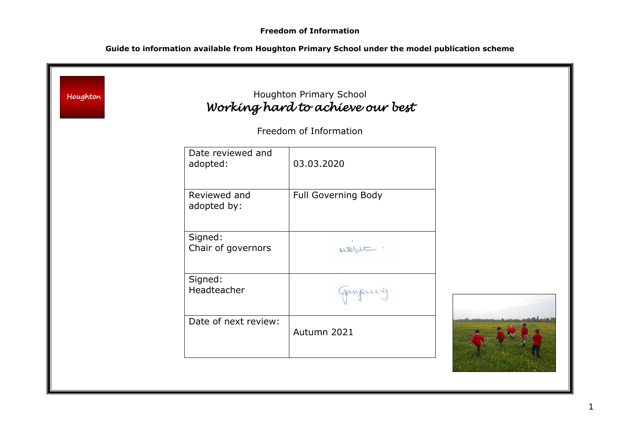| Houghton |                               | Houghton Primary School<br>Working hard to achieve our best |  |
|----------|-------------------------------|-------------------------------------------------------------|--|
|          |                               | Freedom of Information                                      |  |
|          | Date reviewed and<br>adopted: | 03.03.2020                                                  |  |
|          | Reviewed and<br>adopted by:   | Full Governing Body                                         |  |
|          | Signed:<br>Chair of governors | usque.                                                      |  |
|          | Signed:<br>Headteacher        | quipuis                                                     |  |
|          | Date of next review:          | Autumn 2021                                                 |  |
|          |                               |                                                             |  |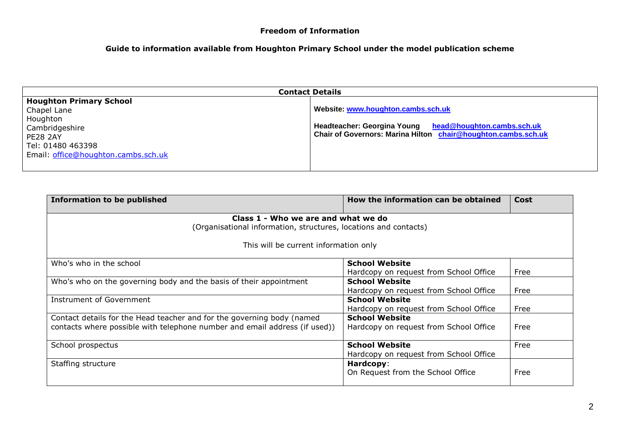| <b>Contact Details</b>                                                                         |                                                                                                                                                               |  |
|------------------------------------------------------------------------------------------------|---------------------------------------------------------------------------------------------------------------------------------------------------------------|--|
| <b>Houghton Primary School</b><br>Chapel Lane<br>Houghton<br>Cambridgeshire<br><b>PE28 2AY</b> | Website: www.houghton.cambs.sch.uk<br>Headteacher: Georgina Young head@houghton.cambs.sch.uk<br>Chair of Governors: Marina Hilton chair@houghton.cambs.sch.uk |  |
| Tel: 01480 463398<br>Email: office@houghton.cambs.sch.uk                                       |                                                                                                                                                               |  |

| <b>Information to be published</b>                                         | How the information can be obtained    | Cost |  |
|----------------------------------------------------------------------------|----------------------------------------|------|--|
| Class 1 - Who we are and what we do                                        |                                        |      |  |
| (Organisational information, structures, locations and contacts)           |                                        |      |  |
| This will be current information only                                      |                                        |      |  |
| Who's who in the school                                                    | <b>School Website</b>                  |      |  |
|                                                                            | Hardcopy on request from School Office | Free |  |
| Who's who on the governing body and the basis of their appointment         | <b>School Website</b>                  |      |  |
|                                                                            | Hardcopy on request from School Office | Free |  |
| Instrument of Government                                                   | <b>School Website</b>                  |      |  |
|                                                                            | Hardcopy on request from School Office | Free |  |
| Contact details for the Head teacher and for the governing body (named     | <b>School Website</b>                  |      |  |
| contacts where possible with telephone number and email address (if used)) | Hardcopy on request from School Office | Free |  |
|                                                                            |                                        |      |  |
| School prospectus                                                          | <b>School Website</b>                  | Free |  |
|                                                                            | Hardcopy on request from School Office |      |  |
| Staffing structure                                                         | Hardcopy:                              |      |  |
|                                                                            | On Request from the School Office      | Free |  |
|                                                                            |                                        |      |  |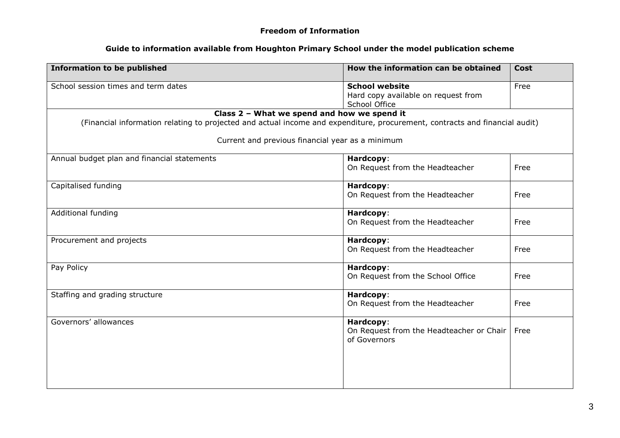| <b>Information to be published</b>                                                                                                                                                                                             | How the information can be obtained                                           | <b>Cost</b> |
|--------------------------------------------------------------------------------------------------------------------------------------------------------------------------------------------------------------------------------|-------------------------------------------------------------------------------|-------------|
| School session times and term dates                                                                                                                                                                                            | <b>School website</b><br>Hard copy available on request from<br>School Office | Free        |
| Class 2 - What we spend and how we spend it<br>(Financial information relating to projected and actual income and expenditure, procurement, contracts and financial audit)<br>Current and previous financial year as a minimum |                                                                               |             |
|                                                                                                                                                                                                                                |                                                                               |             |
| Annual budget plan and financial statements                                                                                                                                                                                    | Hardcopy:<br>On Request from the Headteacher                                  | Free        |
| Capitalised funding                                                                                                                                                                                                            | Hardcopy:<br>On Request from the Headteacher                                  | Free        |
| Additional funding                                                                                                                                                                                                             | Hardcopy:<br>On Request from the Headteacher                                  | Free        |
| Procurement and projects                                                                                                                                                                                                       | Hardcopy:<br>On Request from the Headteacher                                  | Free        |
| Pay Policy                                                                                                                                                                                                                     | Hardcopy:<br>On Request from the School Office                                | Free        |
| Staffing and grading structure                                                                                                                                                                                                 | Hardcopy:<br>On Request from the Headteacher                                  | Free        |
| Governors' allowances                                                                                                                                                                                                          | Hardcopy:<br>On Request from the Headteacher or Chair<br>of Governors         | Free        |
|                                                                                                                                                                                                                                |                                                                               |             |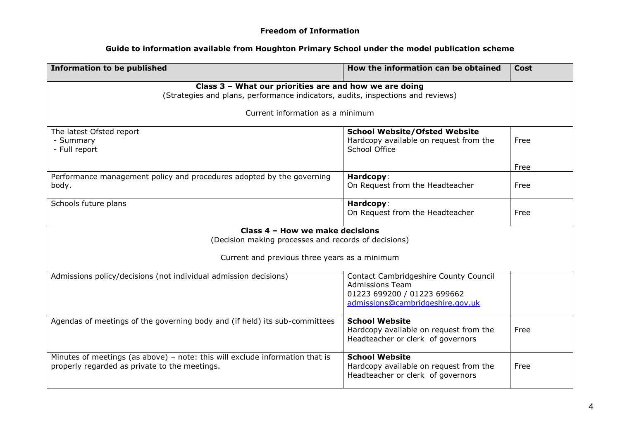| <b>Information to be published</b>                                                                                                        | How the information can be obtained                                                                                                | Cost |  |
|-------------------------------------------------------------------------------------------------------------------------------------------|------------------------------------------------------------------------------------------------------------------------------------|------|--|
| Class 3 - What our priorities are and how we are doing<br>(Strategies and plans, performance indicators, audits, inspections and reviews) |                                                                                                                                    |      |  |
| Current information as a minimum                                                                                                          |                                                                                                                                    |      |  |
| The latest Ofsted report<br>- Summary<br>- Full report                                                                                    | <b>School Website/Ofsted Website</b><br>Hardcopy available on request from the<br>School Office                                    | Free |  |
|                                                                                                                                           |                                                                                                                                    | Free |  |
| Performance management policy and procedures adopted by the governing<br>body.                                                            | Hardcopy:<br>On Request from the Headteacher                                                                                       | Free |  |
| Schools future plans                                                                                                                      | Hardcopy:<br>On Request from the Headteacher                                                                                       | Free |  |
| Class 4 - How we make decisions                                                                                                           |                                                                                                                                    |      |  |
| (Decision making processes and records of decisions)                                                                                      |                                                                                                                                    |      |  |
| Current and previous three years as a minimum                                                                                             |                                                                                                                                    |      |  |
| Admissions policy/decisions (not individual admission decisions)                                                                          | Contact Cambridgeshire County Council<br><b>Admissions Team</b><br>01223 699200 / 01223 699662<br>admissions@cambridgeshire.gov.uk |      |  |
| Agendas of meetings of the governing body and (if held) its sub-committees                                                                | <b>School Website</b><br>Hardcopy available on request from the<br>Headteacher or clerk of governors                               | Free |  |
| Minutes of meetings (as above) - note: this will exclude information that is<br>properly regarded as private to the meetings.             | <b>School Website</b><br>Hardcopy available on request from the<br>Headteacher or clerk of governors                               | Free |  |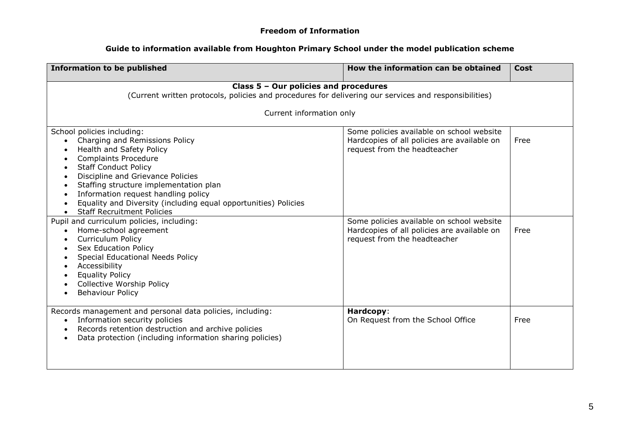| <b>Information to be published</b>                                                                                                                                                                                                                                                                                                                                                                | How the information can be obtained                                                                                      | Cost |  |
|---------------------------------------------------------------------------------------------------------------------------------------------------------------------------------------------------------------------------------------------------------------------------------------------------------------------------------------------------------------------------------------------------|--------------------------------------------------------------------------------------------------------------------------|------|--|
| Class 5 - Our policies and procedures<br>(Current written protocols, policies and procedures for delivering our services and responsibilities)                                                                                                                                                                                                                                                    |                                                                                                                          |      |  |
| Current information only                                                                                                                                                                                                                                                                                                                                                                          |                                                                                                                          |      |  |
| School policies including:<br>Charging and Remissions Policy<br>Health and Safety Policy<br><b>Complaints Procedure</b><br><b>Staff Conduct Policy</b><br>$\bullet$<br>Discipline and Grievance Policies<br>Staffing structure implementation plan<br>Information request handling policy<br>Equality and Diversity (including equal opportunities) Policies<br><b>Staff Recruitment Policies</b> | Some policies available on school website<br>Hardcopies of all policies are available on<br>request from the headteacher | Free |  |
| Pupil and curriculum policies, including:<br>Home-school agreement<br><b>Curriculum Policy</b><br><b>Sex Education Policy</b><br>Special Educational Needs Policy<br>Accessibility<br><b>Equality Policy</b><br><b>Collective Worship Policy</b><br><b>Behaviour Policy</b>                                                                                                                       | Some policies available on school website<br>Hardcopies of all policies are available on<br>request from the headteacher | Free |  |
| Records management and personal data policies, including:<br>Information security policies<br>$\bullet$<br>Records retention destruction and archive policies<br>$\bullet$<br>Data protection (including information sharing policies)                                                                                                                                                            | Hardcopy:<br>On Request from the School Office                                                                           | Free |  |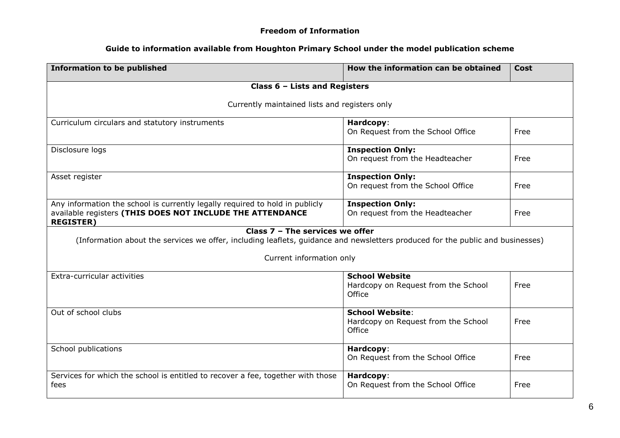| <b>Information to be published</b>                                                                                                                                  | How the information can be obtained                                     | Cost |  |
|---------------------------------------------------------------------------------------------------------------------------------------------------------------------|-------------------------------------------------------------------------|------|--|
| Class 6 - Lists and Registers                                                                                                                                       |                                                                         |      |  |
| Currently maintained lists and registers only                                                                                                                       |                                                                         |      |  |
| Curriculum circulars and statutory instruments                                                                                                                      | Hardcopy:<br>On Request from the School Office                          | Free |  |
| Disclosure logs                                                                                                                                                     | <b>Inspection Only:</b><br>On request from the Headteacher              | Free |  |
| Asset register                                                                                                                                                      | <b>Inspection Only:</b><br>On request from the School Office            | Free |  |
| Any information the school is currently legally required to hold in publicly<br>available registers (THIS DOES NOT INCLUDE THE ATTENDANCE<br><b>REGISTER)</b>       | <b>Inspection Only:</b><br>On request from the Headteacher              | Free |  |
| Class $7 -$ The services we offer<br>(Information about the services we offer, including leaflets, guidance and newsletters produced for the public and businesses) |                                                                         |      |  |
| Current information only                                                                                                                                            |                                                                         |      |  |
| Extra-curricular activities                                                                                                                                         | <b>School Website</b><br>Hardcopy on Request from the School<br>Office  | Free |  |
| Out of school clubs                                                                                                                                                 | <b>School Website:</b><br>Hardcopy on Request from the School<br>Office | Free |  |
| School publications                                                                                                                                                 | Hardcopy:<br>On Request from the School Office                          | Free |  |
| Services for which the school is entitled to recover a fee, together with those<br>fees                                                                             | Hardcopy:<br>On Request from the School Office                          | Free |  |